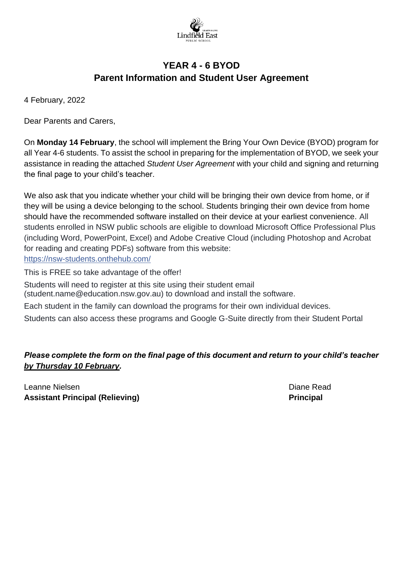

# **YEAR 4 - 6 BYOD Parent Information and Student User Agreement**

4 February, 2022

Dear Parents and Carers,

On **Monday 14 February**, the school will implement the Bring Your Own Device (BYOD) program for all Year 4-6 students. To assist the school in preparing for the implementation of BYOD, we seek your assistance in reading the attached *Student User Agreement* with your child and signing and returning the final page to your child's teacher.

We also ask that you indicate whether your child will be bringing their own device from home, or if they will be using a device belonging to the school. Students bringing their own device from home should have the recommended software installed on their device at your earliest convenience. All students enrolled in NSW public schools are eligible to download Microsoft Office Professional Plus (including Word, PowerPoint, Excel) and Adobe Creative Cloud (including Photoshop and Acrobat for reading and creating PDFs) software from this website: <https://nsw-students.onthehub.com/>

This is FREE so take advantage of the offer!

Students will need to register at this site using their student email

(student.name@education.nsw.gov.au) to download and install the software.

Each student in the family can download the programs for their own individual devices.

Students can also access these programs and Google G-Suite directly from their Student Portal

# *Please complete the form on the final page of this document and return to your child's teacher by Thursday 10 February.*

Leanne Nielsen Diane Read (1999) and the Contract of the Contract of the Diane Read (1999) and Diane Read (199 **Assistant Principal (Relieving) Principal**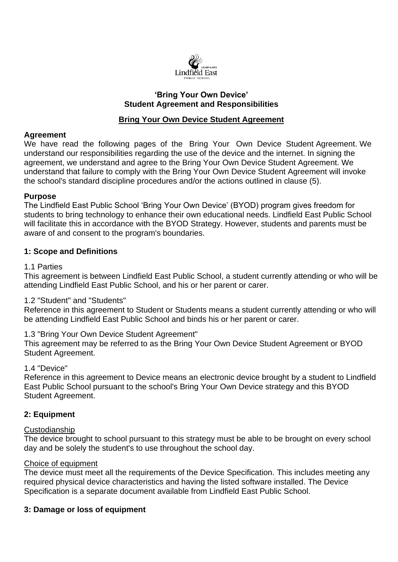

### **'Bring Your Own Device' Student Agreement and Responsibilities**

### **Bring Your Own Device Student Agreement**

### **Agreement**

We have read the following pages of the Bring Your Own Device Student Agreement. We understand our responsibilities regarding the use of the device and the internet. In signing the agreement, we understand and agree to the Bring Your Own Device Student Agreement. We understand that failure to comply with the Bring Your Own Device Student Agreement will invoke the school's standard discipline procedures and/or the actions outlined in clause (5).

#### **Purpose**

The Lindfield East Public School 'Bring Your Own Device' (BYOD) program gives freedom for students to bring technology to enhance their own educational needs. Lindfield East Public School will facilitate this in accordance with the BYOD Strategy. However, students and parents must be aware of and consent to the program's boundaries.

### **1: Scope and Definitions**

#### 1.1 Parties

This agreement is between Lindfield East Public School, a student currently attending or who will be attending Lindfield East Public School, and his or her parent or carer.

### 1.2 "Student" and "Students"

Reference in this agreement to Student or Students means a student currently attending or who will be attending Lindfield East Public School and binds his or her parent or carer.

### 1.3 "Bring Your Own Device Student Agreement"

This agreement may be referred to as the Bring Your Own Device Student Agreement or BYOD Student Agreement.

#### 1.4 "Device"

Reference in this agreement to Device means an electronic device brought by a student to Lindfield East Public School pursuant to the school's Bring Your Own Device strategy and this BYOD Student Agreement.

### **2: Equipment**

#### Custodianship

The device brought to school pursuant to this strategy must be able to be brought on every school day and be solely the student's to use throughout the school day.

#### Choice of equipment

The device must meet all the requirements of the Device Specification. This includes meeting any required physical device characteristics and having the listed software installed. The Device Specification is a separate document available from Lindfield East Public School.

### **3: Damage or loss of equipment**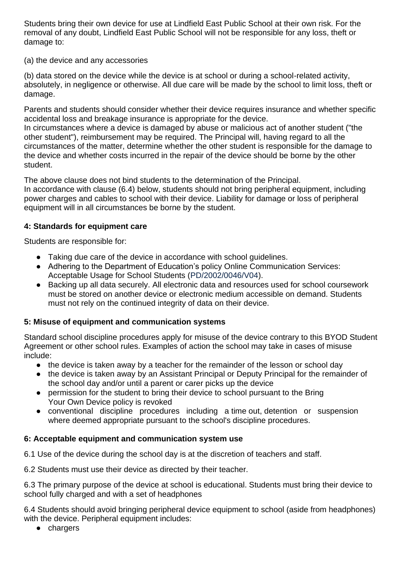Students bring their own device for use at Lindfield East Public School at their own risk. For the removal of any doubt, Lindfield East Public School will not be responsible for any loss, theft or damage to:

### (a) the device and any accessories

(b) data stored on the device while the device is at school or during a school-related activity, absolutely, in negligence or otherwise. All due care will be made by the school to limit loss, theft or damage.

Parents and students should consider whether their device requires insurance and whether specific accidental loss and breakage insurance is appropriate for the device.

In circumstances where a device is damaged by abuse or malicious act of another student ("the other student"), reimbursement may be required. The Principal will, having regard to all the circumstances of the matter, determine whether the other student is responsible for the damage to the device and whether costs incurred in the repair of the device should be borne by the other student.

The above clause does not bind students to the determination of the Principal. In accordance with clause (6.4) below, students should not bring peripheral equipment, including power charges and cables to school with their device. Liability for damage or loss of peripheral equipment will in all circumstances be borne by the student.

# **4: Standards for equipment care**

Students are responsible for:

- Taking due care of the device in accordance with school guidelines.
- Adhering to the Department of Education's policy Online Communication Services: Acceptable Usage for School Students (PD/2002/0046/V04).
- Backing up all data securely. All electronic data and resources used for school coursework must be stored on another device or electronic medium accessible on demand. Students must not rely on the continued integrity of data on their device.

# **5: Misuse of equipment and communication systems**

Standard school discipline procedures apply for misuse of the device contrary to this BYOD Student Agreement or other school rules. Examples of action the school may take in cases of misuse include:

- the device is taken away by a teacher for the remainder of the lesson or school day
- the device is taken away by an Assistant Principal or Deputy Principal for the remainder of the school day and/or until a parent or carer picks up the device
- permission for the student to bring their device to school pursuant to the Bring Your Own Device policy is revoked
- conventional discipline procedures including a time out, detention or suspension where deemed appropriate pursuant to the school's discipline procedures.

# **6: Acceptable equipment and communication system use**

6.1 Use of the device during the school day is at the discretion of teachers and staff.

6.2 Students must use their device as directed by their teacher.

6.3 The primary purpose of the device at school is educational. Students must bring their device to school fully charged and with a set of headphones

6.4 Students should avoid bringing peripheral device equipment to school (aside from headphones) with the device. Peripheral equipment includes:

● chargers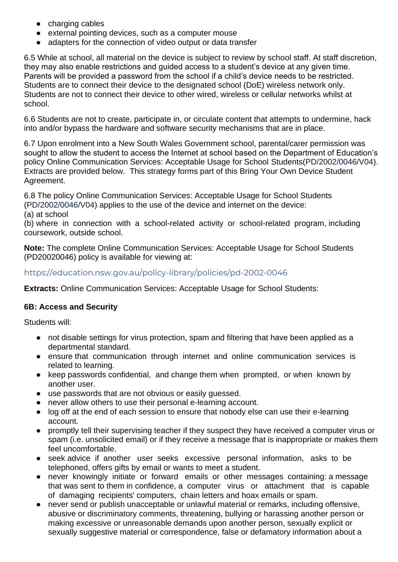- charging cables
- external pointing devices, such as a computer mouse
- adapters for the connection of video output or data transfer

6.5 While at school, all material on the device is subject to review by school staff. At staff discretion, they may also enable restrictions and guided access to a student's device at any given time. Parents will be provided a password from the school if a child's device needs to be restricted. Students are to connect their device to the designated school (DoE) wireless network only. Students are not to connect their device to other wired, wireless or cellular networks whilst at school.

6.6 Students are not to create, participate in, or circulate content that attempts to undermine, hack into and/or bypass the hardware and software security mechanisms that are in place.

6.7 Upon enrolment into a New South Wales Government school, parental/carer permission was sought to allow the student to access the Internet at school based on the Department of Education's policy Online Communication Services: Acceptable Usage for School Students(PD/2002/0046/V04). Extracts are provided below. This strategy forms part of this Bring Your Own Device Student Agreement.

6.8 The policy Online Communication Services: Acceptable Usage for School Students (PD/2002/0046/V04) applies to the use of the device and internet on the device:

(a) at school

(b) where in connection with a school-related activity or school-related program, including coursework, outside school.

**Note:** The complete Online Communication Services: Acceptable Usage for School Students (PD20020046) policy is available for viewing at:

### https://education.nsw.gov.au/policy-library/policies/pd-2002-0046

**Extracts: Online Communication Services: Acceptable Usage for School Students:** 

### **6B: Access and Security**

Students will:

- not disable settings for virus protection, spam and filtering that have been applied as a departmental standard.
- ensure that communication through internet and online communication services is related to learning.
- keep passwords confidential, and change them when prompted, or when known by another user.
- use passwords that are not obvious or easily guessed.
- never allow others to use their personal e-learning account.
- log off at the end of each session to ensure that nobody else can use their e-learning account.
- promptly tell their supervising teacher if they suspect they have received a computer virus or spam (i.e. unsolicited email) or if they receive a message that is inappropriate or makes them feel uncomfortable.
- seek advice if another user seeks excessive personal information, asks to be telephoned, offers gifts by email or wants to meet a student.
- never knowingly initiate or forward emails or other messages containing: a message that was sent to them in confidence, a computer virus or attachment that is capable of damaging recipients' computers, chain letters and hoax emails or spam.
- never send or publish unacceptable or unlawful material or remarks, including offensive, abusive or discriminatory comments, threatening, bullying or harassing another person or making excessive or unreasonable demands upon another person, sexually explicit or sexually suggestive material or correspondence, false or defamatory information about a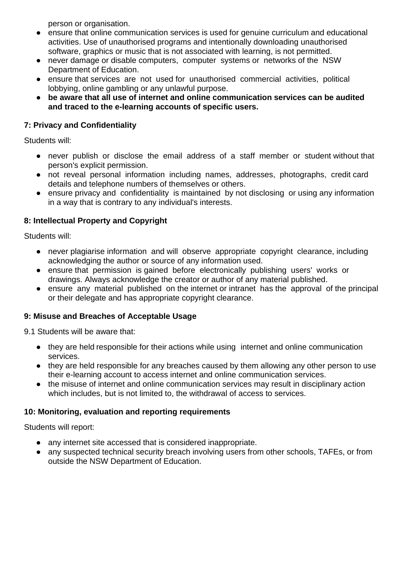person or organisation.

- ensure that online communication services is used for genuine curriculum and educational activities. Use of unauthorised programs and intentionally downloading unauthorised software, graphics or music that is not associated with learning, is not permitted.
- never damage or disable computers, computer systems or networks of the NSW Department of Education.
- ensure that services are not used for unauthorised commercial activities, political lobbying, online gambling or any unlawful purpose.
- **be aware that all use of internet and online communication services can be audited and traced to the e-learning accounts of specific users.**

### **7: Privacy and Confidentiality**

Students will:

- never publish or disclose the email address of a staff member or student without that person's explicit permission.
- not reveal personal information including names, addresses, photographs, credit card details and telephone numbers of themselves or others.
- ensure privacy and confidentiality is maintained by not disclosing or using any information in a way that is contrary to any individual's interests.

### **8: Intellectual Property and Copyright**

Students will:

- never plagiarise information and will observe appropriate copyright clearance, including acknowledging the author or source of any information used.
- ensure that permission is gained before electronically publishing users' works or drawings. Always acknowledge the creator or author of any material published.
- ensure any material published on the internet or intranet has the approval of the principal or their delegate and has appropriate copyright clearance.

### **9: Misuse and Breaches of Acceptable Usage**

9.1 Students will be aware that:

- they are held responsible for their actions while using internet and online communication services.
- they are held responsible for any breaches caused by them allowing any other person to use their e-learning account to access internet and online communication services.
- the misuse of internet and online communication services may result in disciplinary action which includes, but is not limited to, the withdrawal of access to services.

### **10: Monitoring, evaluation and reporting requirements**

Students will report:

- any internet site accessed that is considered inappropriate.
- any suspected technical security breach involving users from other schools, TAFEs, or from outside the NSW Department of Education.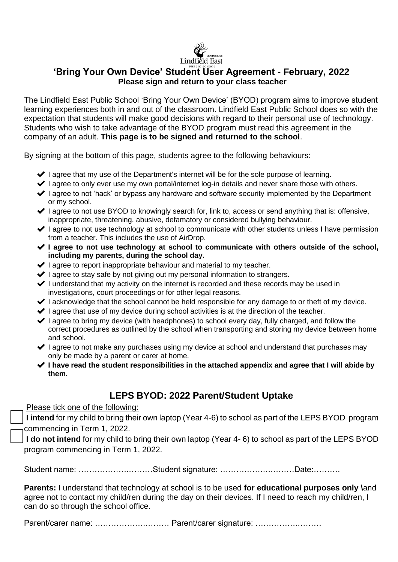

# **'Bring Your Own Device' Student User Agreement - February, 2022 Please sign and return to your class teacher**

The Lindfield East Public School 'Bring Your Own Device' (BYOD) program aims to improve student learning experiences both in and out of the classroom. Lindfield East Public School does so with the expectation that students will make good decisions with regard to their personal use of technology. Students who wish to take advantage of the BYOD program must read this agreement in the company of an adult. **This page is to be signed and returned to the school**.

By signing at the bottom of this page, students agree to the following behaviours:

- ◆ I agree that my use of the Department's internet will be for the sole purpose of learning.
- ◆ I agree to only ever use my own portal/internet log-in details and never share those with others.
- ◆ I agree to not 'hack' or bypass any hardware and software security implemented by the Department or my school.
- $\blacktriangleright$  I agree to not use BYOD to knowingly search for, link to, access or send anything that is: offensive, inappropriate, threatening, abusive, defamatory or considered bullying behaviour.
- ◆ I agree to not use technology at school to communicate with other students unless I have permission from a teacher. This includes the use of AirDrop.
- ✔ **I agree to not use technology at school to communicate with others outside of the school, including my parents, during the school day.**
- ◆ I agree to report inappropriate behaviour and material to my teacher.
- $\blacktriangleright$  I agree to stay safe by not giving out my personal information to strangers.
- ◆ I understand that my activity on the internet is recorded and these records may be used in investigations, court proceedings or for other legal reasons.
- $\blacktriangleright$  I acknowledge that the school cannot be held responsible for any damage to or theft of my device.
- $\blacktriangleright$  I agree that use of my device during school activities is at the direction of the teacher.
- $\blacktriangleright$  I agree to bring my device (with headphones) to school every day, fully charged, and follow the correct procedures as outlined by the school when transporting and storing my device between home and school.
- $\blacktriangleright$  I agree to not make any purchases using my device at school and understand that purchases may only be made by a parent or carer at home.
- ✔ **I have read the student responsibilities in the attached appendix and agree that I will abide by them.**

# **LEPS BYOD: 2022 Parent/Student Uptake**

Please tick one of the following:

**I intend** for my child to bring their own laptop (Year 4-6) to school as part of the LEPS BYOD program commencing in Term 1, 2022.

**I do not intend** for my child to bring their own laptop (Year 4- 6) to school as part of the LEPS BYOD program commencing in Term 1, 2022.

Student name: ……………….………Student signature: ……………….………Date:……….

**Parents:** I understand that technology at school is to be used **for educational purposes only \**and agree not to contact my child/ren during the day on their devices. If I need to reach my child/ren, I can do so through the school office.

Parent/carer name: ……………….……… Parent/carer signature: …………….………